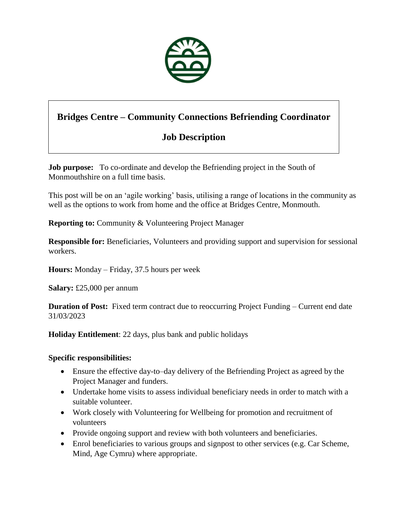

# **Bridges Centre – Community Connections Befriending Coordinator**

## **Job Description**

**Job purpose:** To co-ordinate and develop the Befriending project in the South of Monmouthshire on a full time basis.

This post will be on an 'agile working' basis, utilising a range of locations in the community as well as the options to work from home and the office at Bridges Centre, Monmouth.

**Reporting to: Community & Volunteering Project Manager** 

**Responsible for:** Beneficiaries, Volunteers and providing support and supervision for sessional workers.

**Hours:** Monday – Friday, 37.5 hours per week

**Salary:** £25,000 per annum

**Duration of Post:** Fixed term contract due to reoccurring Project Funding – Current end date 31/03/2023

**Holiday Entitlement**: 22 days, plus bank and public holidays

### **Specific responsibilities:**

- Ensure the effective day-to–day delivery of the Befriending Project as agreed by the Project Manager and funders.
- Undertake home visits to assess individual beneficiary needs in order to match with a suitable volunteer.
- Work closely with Volunteering for Wellbeing for promotion and recruitment of volunteers
- Provide ongoing support and review with both volunteers and beneficiaries.
- Enrol beneficiaries to various groups and signpost to other services (e.g. Car Scheme, Mind, Age Cymru) where appropriate.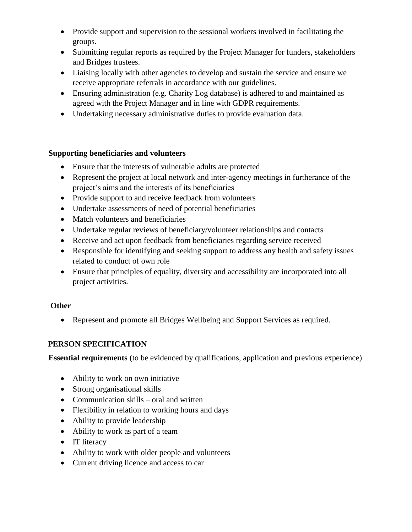- Provide support and supervision to the sessional workers involved in facilitating the groups.
- Submitting regular reports as required by the Project Manager for funders, stakeholders and Bridges trustees.
- Liaising locally with other agencies to develop and sustain the service and ensure we receive appropriate referrals in accordance with our guidelines.
- Ensuring administration (e.g. Charity Log database) is adhered to and maintained as agreed with the Project Manager and in line with GDPR requirements.
- Undertaking necessary administrative duties to provide evaluation data.

### **Supporting beneficiaries and volunteers**

- Ensure that the interests of vulnerable adults are protected
- Represent the project at local network and inter-agency meetings in furtherance of the project's aims and the interests of its beneficiaries
- Provide support to and receive feedback from volunteers
- Undertake assessments of need of potential beneficiaries
- Match volunteers and beneficiaries
- Undertake regular reviews of beneficiary/volunteer relationships and contacts
- Receive and act upon feedback from beneficiaries regarding service received
- Responsible for identifying and seeking support to address any health and safety issues related to conduct of own role
- Ensure that principles of equality, diversity and accessibility are incorporated into all project activities.

## **Other**

Represent and promote all Bridges Wellbeing and Support Services as required.

## **PERSON SPECIFICATION**

**Essential requirements** (to be evidenced by qualifications, application and previous experience)

- Ability to work on own initiative
- Strong organisational skills
- Communication skills oral and written
- Flexibility in relation to working hours and days
- Ability to provide leadership
- Ability to work as part of a team
- IT literacy
- Ability to work with older people and volunteers
- Current driving licence and access to car